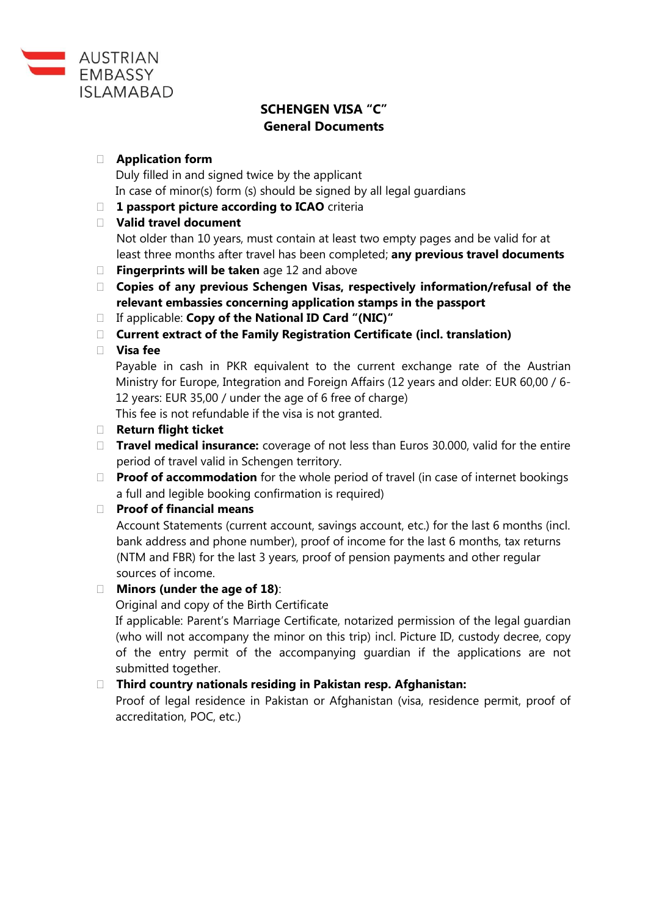

# **SCHENGEN VISA "C" General Documents**

### **Application form**

Duly filled in and signed twice by the applicant In case of minor(s) form (s) should be signed by all legal guardians

**1 passport picture according to ICAO** criteria

## **Valid travel document**

Not older than 10 years, must contain at least two empty pages and be valid for at least three months after travel has been completed; **any previous travel documents**

- **Fingerprints will be taken** age 12 and above
- **Copies of any previous Schengen Visas, respectively information/refusal of the relevant embassies concerning application stamps in the passport**
- If applicable: **Copy of the National ID Card "(NIC)"**
- **Current extract of the Family Registration Certificate (incl. translation)**

## **Visa fee**

Payable in cash in PKR equivalent to the current exchange rate of the Austrian Ministry for Europe, Integration and Foreign Affairs (12 years and older: EUR 60,00 / 6- 12 years: EUR 35,00 / under the age of 6 free of charge)

This fee is not refundable if the visa is not granted.

- **Return flight ticket**
- **Travel medical insurance:** coverage of not less than Euros 30.000, valid for the entire period of travel valid in Schengen territory.
- **Proof of accommodation** for the whole period of travel (in case of internet bookings a full and legible booking confirmation is required)

#### **Proof of financial means**

Account Statements (current account, savings account, etc.) for the last 6 months (incl. bank address and phone number), proof of income for the last 6 months, tax returns (NTM and FBR) for the last 3 years, proof of pension payments and other regular sources of income.

## **Minors (under the age of 18)**:

Original and copy of the Birth Certificate

If applicable: Parent's Marriage Certificate, notarized permission of the legal guardian (who will not accompany the minor on this trip) incl. Picture ID, custody decree, copy of the entry permit of the accompanying guardian if the applications are not submitted together.

## **Third country nationals residing in Pakistan resp. Afghanistan:**

Proof of legal residence in Pakistan or Afghanistan (visa, residence permit, proof of accreditation, POC, etc.)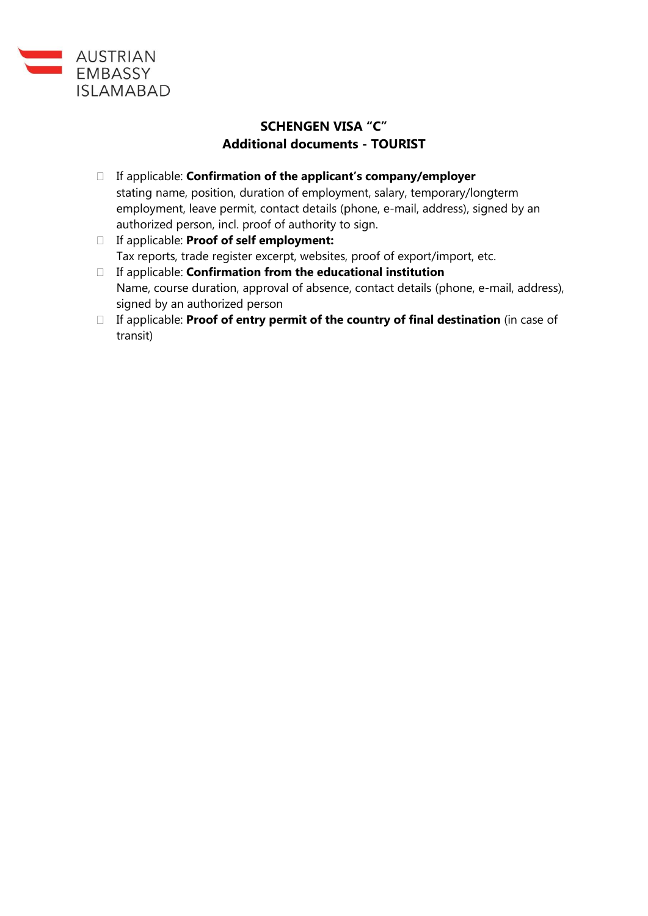

# **SCHENGEN VISA "C" Additional documents - TOURIST**

- If applicable: **Confirmation of the applicant's company/employer** stating name, position, duration of employment, salary, temporary/longterm employment, leave permit, contact details (phone, e-mail, address), signed by an authorized person, incl. proof of authority to sign.
- If applicable: **Proof of self employment:** Tax reports, trade register excerpt, websites, proof of export/import, etc.
- If applicable: **Confirmation from the educational institution** Name, course duration, approval of absence, contact details (phone, e-mail, address), signed by an authorized person
- If applicable: **Proof of entry permit of the country of final destination** (in case of transit)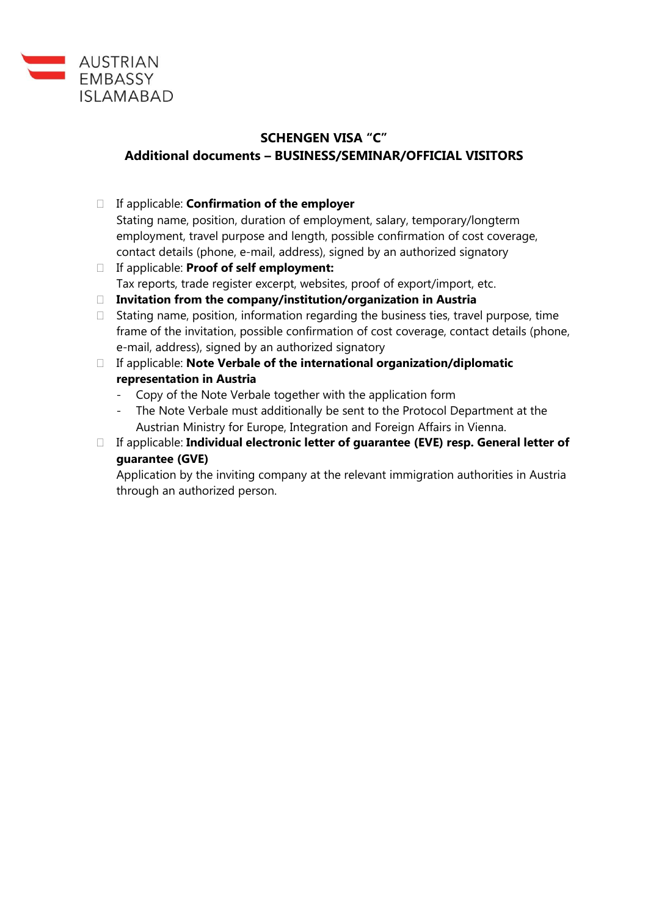

# **SCHENGEN VISA "C" Additional documents – BUSINESS/SEMINAR/OFFICIAL VISITORS**

- If applicable: **Confirmation of the employer** Stating name, position, duration of employment, salary, temporary/longterm employment, travel purpose and length, possible confirmation of cost coverage, contact details (phone, e-mail, address), signed by an authorized signatory
- If applicable: **Proof of self employment:** Tax reports, trade register excerpt, websites, proof of export/import, etc.
- **Invitation from the company/institution/organization in Austria**
- $\Box$  Stating name, position, information regarding the business ties, travel purpose, time frame of the invitation, possible confirmation of cost coverage, contact details (phone, e-mail, address), signed by an authorized signatory
- If applicable: **Note Verbale of the international organization/diplomatic representation in Austria**
	- Copy of the Note Verbale together with the application form
	- The Note Verbale must additionally be sent to the Protocol Department at the Austrian Ministry for Europe, Integration and Foreign Affairs in Vienna.
- If applicable: **Individual electronic letter of guarantee (EVE) resp. General letter of guarantee (GVE)**

Application by the inviting company at the relevant immigration authorities in Austria through an authorized person.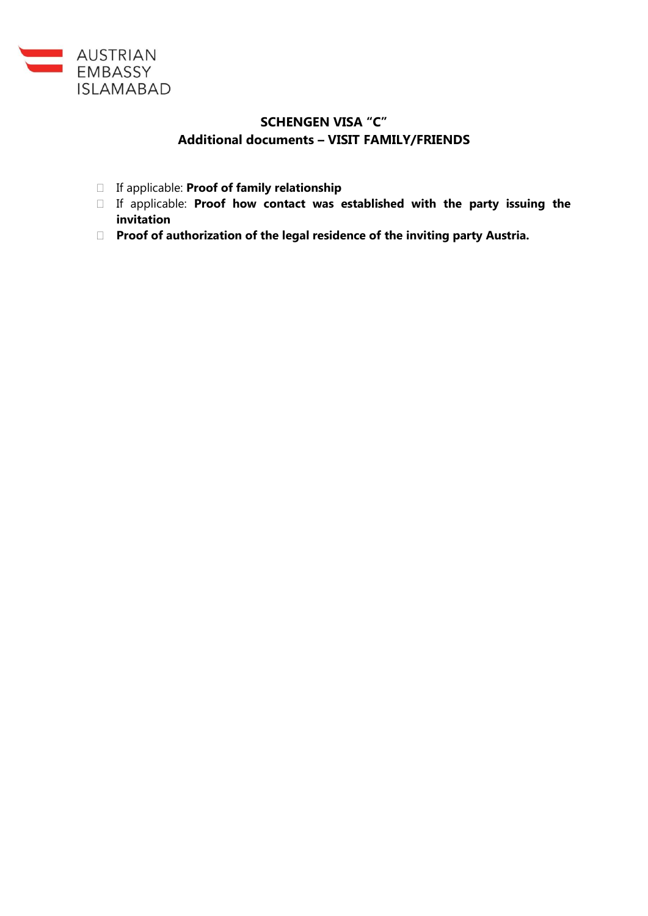

## **SCHENGEN VISA "C" Additional documents – VISIT FAMILY/FRIENDS**

- If applicable: **Proof of family relationship**
- If applicable: **Proof how contact was established with the party issuing the invitation**
- **Proof of authorization of the legal residence of the inviting party Austria.**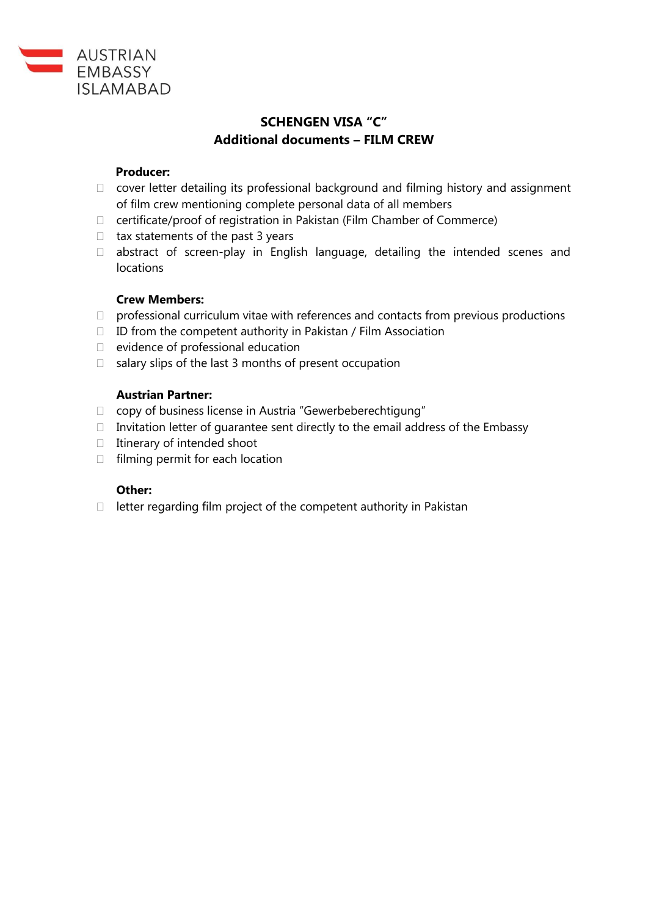

## **SCHENGEN VISA "C" Additional documents – FILM CREW**

#### **Producer:**

- $\Box$  cover letter detailing its professional background and filming history and assignment of film crew mentioning complete personal data of all members
- $\Box$  certificate/proof of registration in Pakistan (Film Chamber of Commerce)
- $\Box$  tax statements of the past 3 years
- $\Box$  abstract of screen-play in English language, detailing the intended scenes and locations

#### **Crew Members:**

- $\Box$  professional curriculum vitae with references and contacts from previous productions
- $\Box$  ID from the competent authority in Pakistan / Film Association
- $\Box$  evidence of professional education
- $\Box$  salary slips of the last 3 months of present occupation

#### **Austrian Partner:**

- copy of business license in Austria "Gewerbeberechtigung"
- $\Box$  Invitation letter of quarantee sent directly to the email address of the Embassy
- $\Box$  Itinerary of intended shoot
- $\Box$  filming permit for each location

#### **Other:**

 $\Box$  letter regarding film project of the competent authority in Pakistan